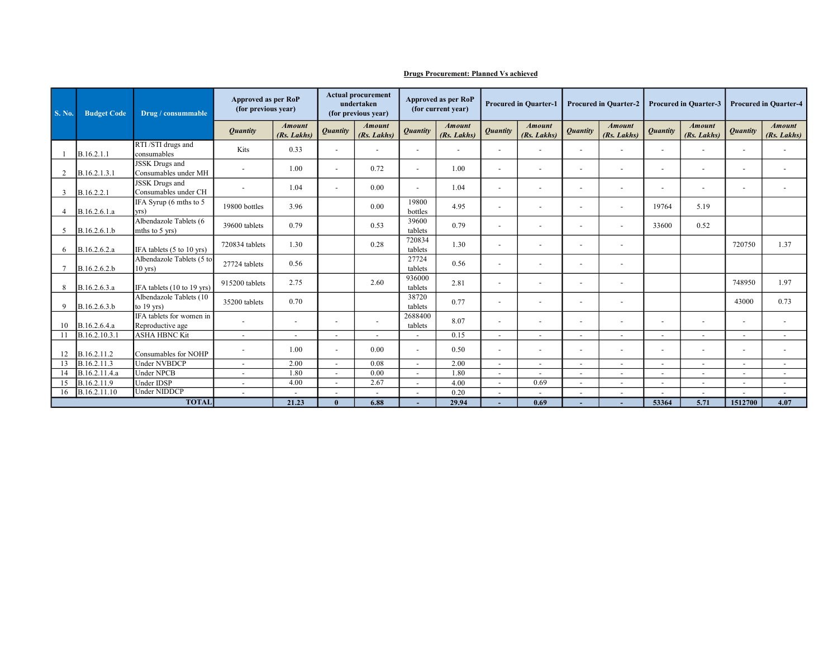| <b>S. No.</b> | <b>Budget Code</b> | Drug / consummable                            | Approved as per RoP<br>(for previous year) |                              | <b>Actual procurement</b><br>undertaken<br>(for previous year) |                              | <b>Approved as per RoP</b><br>(for current year) |                              | <b>Procured in Quarter-1</b> |                              | <b>Procured in Quarter-2</b> |                              | <b>Procured in Quarter-3</b> |                              | <b>Procured in Quarter-4</b> |                              |
|---------------|--------------------|-----------------------------------------------|--------------------------------------------|------------------------------|----------------------------------------------------------------|------------------------------|--------------------------------------------------|------------------------------|------------------------------|------------------------------|------------------------------|------------------------------|------------------------------|------------------------------|------------------------------|------------------------------|
|               |                    |                                               | <b>Ouantity</b>                            | <b>Amount</b><br>(Rs. Lakhs) | <i><b>Quantity</b></i>                                         | <b>Amount</b><br>(Rs. Lakhs) | <b>Quantity</b>                                  | <b>Amount</b><br>(Rs. Lakhs) | <b>Quantity</b>              | <b>Amount</b><br>(Rs. Lakhs) | <b>Quantity</b>              | <b>Amount</b><br>(Rs. Lakhs) | <b>Quantity</b>              | <b>Amount</b><br>(Rs. Lakhs) | <b>Quantity</b>              | <b>Amount</b><br>(Rs. Lakhs) |
|               | B.16.2.1.1         | RTI /STI drugs and<br>consumables             | Kits                                       | 0.33                         | $\overline{\phantom{a}}$                                       |                              | $\overline{\phantom{a}}$                         |                              | $\sim$                       | $\overline{\phantom{a}}$     | $\sim$                       | $\overline{a}$               | $\blacksquare$               | $\sim$                       | $\blacksquare$               | $\blacksquare$               |
| 2             | B.16.2.1.3.1       | <b>JSSK</b> Drugs and<br>Consumables under MH |                                            | 1.00                         | $\sim$                                                         | 0.72                         | $\blacksquare$                                   | 1.00                         |                              | $\overline{\phantom{a}}$     | $\overline{a}$               | $\overline{\phantom{0}}$     | $\overline{\phantom{a}}$     | $\sim$                       | $\overline{\phantom{a}}$     | $\sim$                       |
| 3             | B.16.2.2.1         | JSSK Drugs and<br>Consumables under CH        |                                            | 1.04                         | $\sim$                                                         | 0.00                         | $\blacksquare$                                   | 1.04                         | $\sim$                       | $\sim$                       | $\sim$                       | $\sim$                       | $\sim$                       | $\sim$                       | $\overline{a}$               | $\sim$                       |
| 4             | B.16.2.6.1.a       | IFA Syrup (6 mths to 5<br>yrs)                | 19800 bottles                              | 3.96                         |                                                                | 0.00                         | 19800<br>bottles                                 | 4.95                         |                              |                              |                              | $\overline{a}$               | 19764                        | 5.19                         |                              |                              |
| 5             | B.16.2.6.1.b       | Albendazole Tablets (6<br>mths to 5 yrs)      | 39600 tablets                              | 0.79                         |                                                                | 0.53                         | 39600<br>tablets                                 | 0.79                         |                              |                              |                              | $\sim$                       | 33600                        | 0.52                         |                              |                              |
| 6             | B.16.2.6.2.a       | IFA tablets (5 to 10 yrs)                     | 720834 tablets                             | 1.30                         |                                                                | 0.28                         | 720834<br>tablets                                | 1.30                         | $\overline{\phantom{0}}$     |                              |                              | $\sim$                       |                              |                              | 720750                       | 1.37                         |
|               | B.16.2.6.2.b       | Albendazole Tablets (5 to<br>$10$ yrs)        | 27724 tablets                              | 0.56                         |                                                                |                              | 27724<br>tablets                                 | 0.56                         |                              |                              |                              | $\overline{\phantom{a}}$     |                              |                              |                              |                              |
| 8             | B.16.2.6.3.a       | IFA tablets (10 to 19 yrs)                    | 915200 tablets                             | 2.75                         |                                                                | 2.60                         | 936000<br>tablets                                | 2.81                         | $\overline{\phantom{a}}$     | $\overline{\phantom{a}}$     | $\overline{a}$               | $\overline{\phantom{a}}$     |                              |                              | 748950                       | 1.97                         |
| 9             | B.16.2.6.3.b       | Albendazole Tablets (10<br>to $19$ yrs)       | 35200 tablets                              | 0.70                         |                                                                |                              | 38720<br>tablets                                 | 0.77                         |                              |                              |                              |                              |                              |                              | 43000                        | 0.73                         |
| 10            | B.16.2.6.4.a       | IFA tablets for women in<br>Reproductive age  |                                            | $\overline{\phantom{a}}$     | $\overline{\phantom{a}}$                                       | $\overline{\phantom{a}}$     | 2688400<br>tablets                               | 8.07                         |                              | $\overline{\phantom{a}}$     | $\overline{\phantom{0}}$     | $\overline{\phantom{a}}$     | $\overline{\phantom{a}}$     | $\overline{\phantom{a}}$     | $\blacksquare$               | $\blacksquare$               |
|               | B.16.2.10.3.1      | <b>ASHA HBNC Kit</b>                          | $\omega$                                   | $\sim$                       | $\overline{\phantom{a}}$                                       | $\ddot{\phantom{1}}$         | $\sim$                                           | 0.15                         | $\overline{\phantom{a}}$     | $\sim$                       | $\sim$                       | $\sim$                       | $\blacksquare$               | $\blacksquare$               | $\sim$                       | $\blacksquare$               |
| 12            | B.16.2.11.2        | Consumables for NOHP                          |                                            | 1.00                         | $\overline{\phantom{a}}$                                       | 0.00                         | $\sim$                                           | 0.50                         |                              |                              |                              | $\overline{\phantom{a}}$     | $\overline{\phantom{a}}$     | $\overline{\phantom{a}}$     | $\overline{\phantom{a}}$     | $\overline{\phantom{a}}$     |
| 13            | B.16.2.11.3        | <b>Under NVBDCP</b>                           | $\sim$                                     | 2.00                         | $\sim$                                                         | 0.08                         | $\sim$                                           | 2.00                         | $\overline{\phantom{a}}$     | $\overline{\phantom{a}}$     |                              | $\overline{\phantom{a}}$     | $\overline{\phantom{a}}$     | $\overline{\phantom{a}}$     | $\overline{\phantom{a}}$     | $\overline{\phantom{a}}$     |
| 14            | B.16.2.11.4.a      | Under NPCB                                    | $\sim$                                     | 1.80                         | $\blacksquare$                                                 | 0.00                         | $\sim$                                           | 1.80                         | $\sim$                       |                              |                              | $\sim$                       | $\overline{a}$               | $\blacksquare$               | $\overline{\phantom{a}}$     | $\blacksquare$               |
| 15            | B.16.2.11.9        | Under IDSP                                    | $\overline{\phantom{a}}$                   | 4.00                         | $\overline{\phantom{a}}$                                       | 2.67                         | $\overline{\phantom{a}}$                         | 4.00                         | $\overline{\phantom{a}}$     | 0.69                         | $\overline{a}$               | $\overline{\phantom{a}}$     | $\overline{\phantom{a}}$     | $\sim$                       | $\overline{\phantom{a}}$     | $\blacksquare$               |
| 16            | B.16.2.11.10       | Under NIDDCP                                  | $\sim$                                     | $\overline{a}$               | $\overline{\phantom{a}}$                                       |                              | $\blacksquare$                                   | 0.20                         | $\overline{\phantom{a}}$     |                              |                              | $\sim$                       |                              | $\overline{a}$               |                              |                              |
| <b>TOTAL</b>  |                    |                                               |                                            | 21.23                        | $\mathbf{0}$                                                   | 6.88                         |                                                  | 29.94                        |                              | 0.69                         |                              |                              | 53364                        | 5.71                         | 1512700                      | 4.07                         |